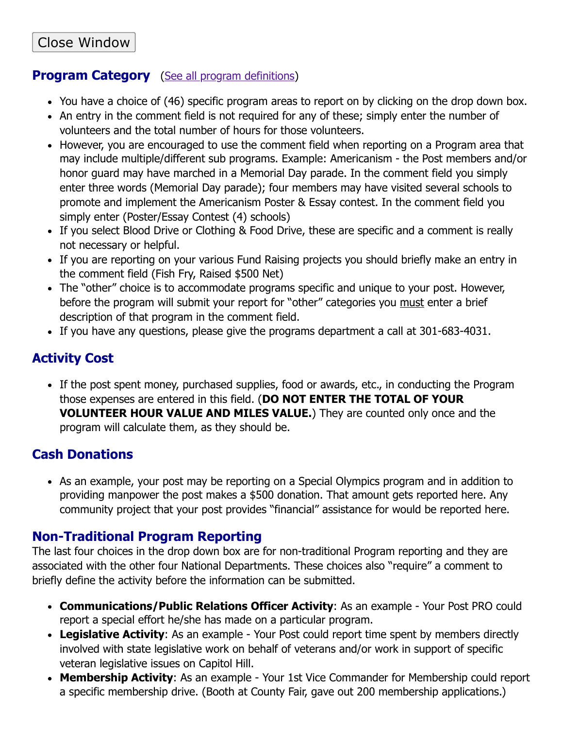## **Program Category** [\(See all program definitions\)](#page-1-0)

- You have a choice of (46) specific program areas to report on by clicking on the drop down box.
- An entry in the comment field is not required for any of these; simply enter the number of volunteers and the total number of hours for those volunteers.
- However, you are encouraged to use the comment field when reporting on a Program area that may include multiple/different sub programs. Example: Americanism - the Post members and/or honor guard may have marched in a Memorial Day parade. In the comment field you simply enter three words (Memorial Day parade); four members may have visited several schools to promote and implement the Americanism Poster & Essay contest. In the comment field you simply enter (Poster/Essay Contest (4) schools)
- If you select Blood Drive or Clothing & Food Drive, these are specific and a comment is really not necessary or helpful.
- If you are reporting on your various Fund Raising projects you should briefly make an entry in the comment field (Fish Fry, Raised \$500 Net)
- The "other" choice is to accommodate programs specific and unique to your post. However, before the program will submit your report for "other" categories you must enter a brief description of that program in the comment field.
- If you have any questions, please give the programs department a call at 301-683-4031.

## **Activity Cost**

• If the post spent money, purchased supplies, food or awards, etc., in conducting the Program those expenses are entered in this field. (**DO NOT ENTER THE TOTAL OF YOUR VOLUNTEER HOUR VALUE AND MILES VALUE.**) They are counted only once and the program will calculate them, as they should be.

## **Cash Donations**

• As an example, your post may be reporting on a Special Olympics program and in addition to providing manpower the post makes a \$500 donation. That amount gets reported here. Any community project that your post provides "financial" assistance for would be reported here.

### **Non-Traditional Program Reporting**

The last four choices in the drop down box are for non-traditional Program reporting and they are associated with the other four National Departments. These choices also "require" a comment to briefly define the activity before the information can be submitted.

- **Communications/Public Relations Officer Activity**: As an example Your Post PRO could report a special effort he/she has made on a particular program.
- Legislative Activity: As an example Your Post could report time spent by members directly involved with state legislative work on behalf of veterans and/or work in support of specific veteran legislative issues on Capitol Hill.
- **Membership Activity**: As an example Your 1st Vice Commander for Membership could report a specific membership drive. (Booth at County Fair, gave out 200 membership applications.)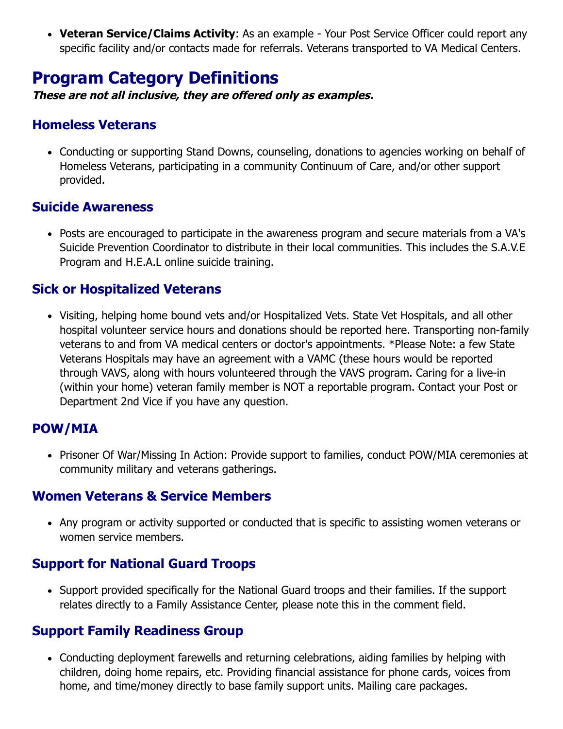**Veteran Service/Claims Activity**: As an example - Your Post Service Officer could report any specific facility and/or contacts made for referrals. Veterans transported to VA Medical Centers.

# <span id="page-1-0"></span>**Program Category Definitions**

**These are not all inclusive, they are offered only as examples.**

#### **Homeless Veterans**

Conducting or supporting Stand Downs, counseling, donations to agencies working on behalf of Homeless Veterans, participating in a community Continuum of Care, and/or other support provided.

#### **Suicide Awareness**

Posts are encouraged to participate in the awareness program and secure materials from a VA's Suicide Prevention Coordinator to distribute in their local communities. This includes the S.A.V.E Program and H.E.A.L online suicide training.

#### **Sick or Hospitalized Veterans**

Visiting, helping home bound vets and/or Hospitalized Vets. State Vet Hospitals, and all other hospital volunteer service hours and donations should be reported here. Transporting non-family veterans to and from VA medical centers or doctor's appointments. \*Please Note: a few State Veterans Hospitals may have an agreement with a VAMC (these hours would be reported through VAVS, along with hours volunteered through the VAVS program. Caring for a live-in (within your home) veteran family member is NOT a reportable program. Contact your Post or Department 2nd Vice if you have any question.

### **POW/MIA**

• Prisoner Of War/Missing In Action: Provide support to families, conduct POW/MIA ceremonies at community military and veterans gatherings.

#### **Women Veterans & Service Members**

• Any program or activity supported or conducted that is specific to assisting women veterans or women service members.

### **Support for National Guard Troops**

• Support provided specifically for the National Guard troops and their families. If the support relates directly to a Family Assistance Center, please note this in the comment field.

### **Support Family Readiness Group**

Conducting deployment farewells and returning celebrations, aiding families by helping with children, doing home repairs, etc. Providing financial assistance for phone cards, voices from home, and time/money directly to base family support units. Mailing care packages.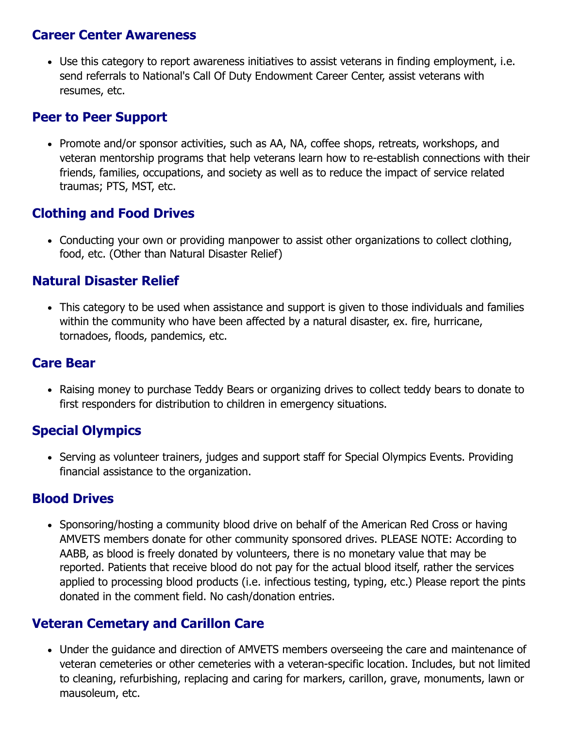#### **Career Center Awareness**

Use this category to report awareness initiatives to assist veterans in finding employment, i.e. send referrals to National's Call Of Duty Endowment Career Center, assist veterans with resumes, etc.

#### **Peer to Peer Support**

• Promote and/or sponsor activities, such as AA, NA, coffee shops, retreats, workshops, and veteran mentorship programs that help veterans learn how to re-establish connections with their friends, families, occupations, and society as well as to reduce the impact of service related traumas; PTS, MST, etc.

### **Clothing and Food Drives**

Conducting your own or providing manpower to assist other organizations to collect clothing, food, etc. (Other than Natural Disaster Relief)

#### **Natural Disaster Relief**

This category to be used when assistance and support is given to those individuals and families within the community who have been affected by a natural disaster, ex. fire, hurricane, tornadoes, floods, pandemics, etc.

#### **Care Bear**

Raising money to purchase Teddy Bears or organizing drives to collect teddy bears to donate to first responders for distribution to children in emergency situations.

### **Special Olympics**

• Serving as volunteer trainers, judges and support staff for Special Olympics Events. Providing financial assistance to the organization.

#### **Blood Drives**

• Sponsoring/hosting a community blood drive on behalf of the American Red Cross or having AMVETS members donate for other community sponsored drives. PLEASE NOTE: According to AABB, as blood is freely donated by volunteers, there is no monetary value that may be reported. Patients that receive blood do not pay for the actual blood itself, rather the services applied to processing blood products (i.e. infectious testing, typing, etc.) Please report the pints donated in the comment field. No cash/donation entries.

#### **Veteran Cemetary and Carillon Care**

Under the guidance and direction of AMVETS members overseeing the care and maintenance of veteran cemeteries or other cemeteries with a veteran-specific location. Includes, but not limited to cleaning, refurbishing, replacing and caring for markers, carillon, grave, monuments, lawn or mausoleum, etc.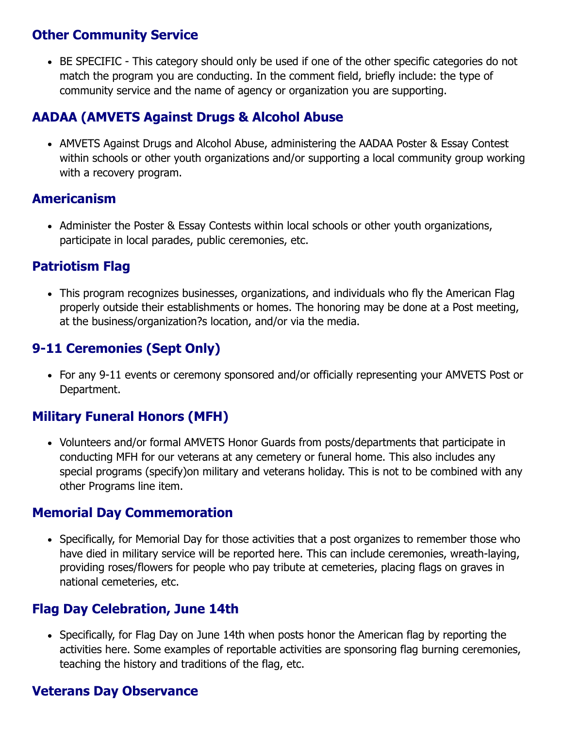### **Other Community Service**

• BE SPECIFIC - This category should only be used if one of the other specific categories do not match the program you are conducting. In the comment field, briefly include: the type of community service and the name of agency or organization you are supporting.

### **AADAA (AMVETS Against Drugs & Alcohol Abuse**

• AMVETS Against Drugs and Alcohol Abuse, administering the AADAA Poster & Essay Contest within schools or other youth organizations and/or supporting a local community group working with a recovery program.

### **Americanism**

Administer the Poster & Essay Contests within local schools or other youth organizations, participate in local parades, public ceremonies, etc.

### **Patriotism Flag**

This program recognizes businesses, organizations, and individuals who fly the American Flag properly outside their establishments or homes. The honoring may be done at a Post meeting, at the business/organization?s location, and/or via the media.

## **9-11 Ceremonies (Sept Only)**

For any 9-11 events or ceremony sponsored and/or officially representing your AMVETS Post or Department.

## **Military Funeral Honors (MFH)**

• Volunteers and/or formal AMVETS Honor Guards from posts/departments that participate in conducting MFH for our veterans at any cemetery or funeral home. This also includes any special programs (specify)on military and veterans holiday. This is not to be combined with any other Programs line item.

#### **Memorial Day Commemoration**

• Specifically, for Memorial Day for those activities that a post organizes to remember those who have died in military service will be reported here. This can include ceremonies, wreath-laying, providing roses/flowers for people who pay tribute at cemeteries, placing flags on graves in national cemeteries, etc.

### **Flag Day Celebration, June 14th**

• Specifically, for Flag Day on June 14th when posts honor the American flag by reporting the activities here. Some examples of reportable activities are sponsoring flag burning ceremonies, teaching the history and traditions of the flag, etc.

#### **Veterans Day Observance**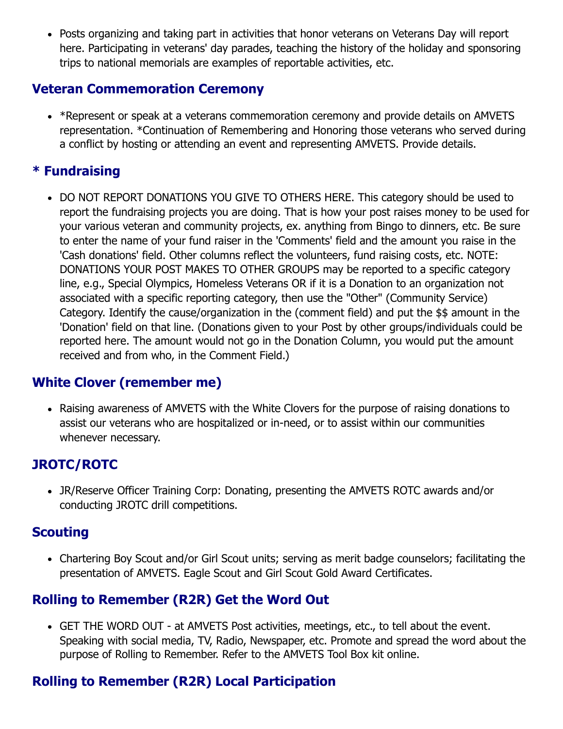Posts organizing and taking part in activities that honor veterans on Veterans Day will report here. Participating in veterans' day parades, teaching the history of the holiday and sponsoring trips to national memorials are examples of reportable activities, etc.

#### **Veteran Commemoration Ceremony**

• \*Represent or speak at a veterans commemoration ceremony and provide details on AMVETS representation. \*Continuation of Remembering and Honoring those veterans who served during a conflict by hosting or attending an event and representing AMVETS. Provide details.

## **\* Fundraising**

DO NOT REPORT DONATIONS YOU GIVE TO OTHERS HERE. This category should be used to report the fundraising projects you are doing. That is how your post raises money to be used for your various veteran and community projects, ex. anything from Bingo to dinners, etc. Be sure to enter the name of your fund raiser in the 'Comments' field and the amount you raise in the 'Cash donations' field. Other columns reflect the volunteers, fund raising costs, etc. NOTE: DONATIONS YOUR POST MAKES TO OTHER GROUPS may be reported to a specific category line, e.g., Special Olympics, Homeless Veterans OR if it is a Donation to an organization not associated with a specific reporting category, then use the "Other" (Community Service) Category. Identify the cause/organization in the (comment field) and put the \$\$ amount in the 'Donation' field on that line. (Donations given to your Post by other groups/individuals could be reported here. The amount would not go in the Donation Column, you would put the amount received and from who, in the Comment Field.)

## **White Clover (remember me)**

Raising awareness of AMVETS with the White Clovers for the purpose of raising donations to assist our veterans who are hospitalized or in-need, or to assist within our communities whenever necessary.

## **JROTC/ROTC**

JR/Reserve Officer Training Corp: Donating, presenting the AMVETS ROTC awards and/or conducting JROTC drill competitions.

### **Scouting**

Chartering Boy Scout and/or Girl Scout units; serving as merit badge counselors; facilitating the presentation of AMVETS. Eagle Scout and Girl Scout Gold Award Certificates.

## **Rolling to Remember (R2R) Get the Word Out**

GET THE WORD OUT - at AMVETS Post activities, meetings, etc., to tell about the event. Speaking with social media, TV, Radio, Newspaper, etc. Promote and spread the word about the purpose of Rolling to Remember. Refer to the AMVETS Tool Box kit online.

## **Rolling to Remember (R2R) Local Participation**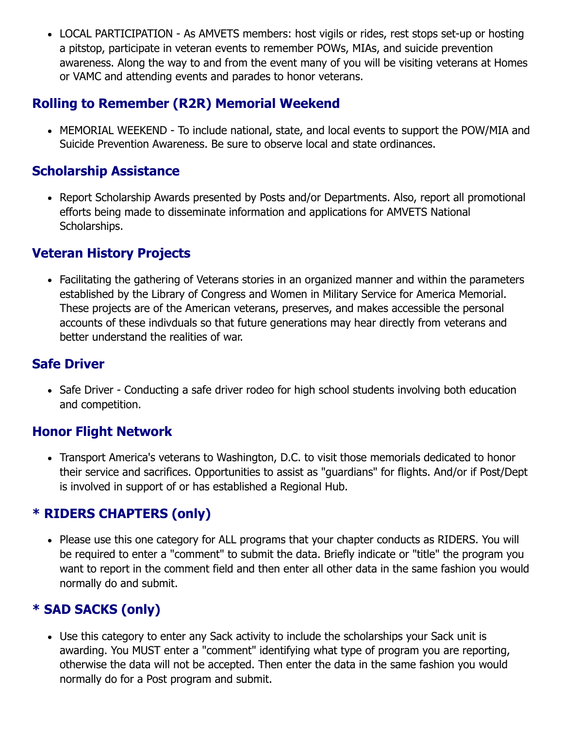• LOCAL PARTICIPATION - As AMVETS members: host vigils or rides, rest stops set-up or hosting a pitstop, participate in veteran events to remember POWs, MIAs, and suicide prevention awareness. Along the way to and from the event many of you will be visiting veterans at Homes or VAMC and attending events and parades to honor veterans.

### **Rolling to Remember (R2R) Memorial Weekend**

MEMORIAL WEEKEND - To include national, state, and local events to support the POW/MIA and Suicide Prevention Awareness. Be sure to observe local and state ordinances.

### **Scholarship Assistance**

• Report Scholarship Awards presented by Posts and/or Departments. Also, report all promotional efforts being made to disseminate information and applications for AMVETS National Scholarships.

### **Veteran History Projects**

Facilitating the gathering of Veterans stories in an organized manner and within the parameters established by the Library of Congress and Women in Military Service for America Memorial. These projects are of the American veterans, preserves, and makes accessible the personal accounts of these indivduals so that future generations may hear directly from veterans and better understand the realities of war.

### **Safe Driver**

• Safe Driver - Conducting a safe driver rodeo for high school students involving both education and competition.

### **Honor Flight Network**

Transport America's veterans to Washington, D.C. to visit those memorials dedicated to honor their service and sacrifices. Opportunities to assist as "guardians" for flights. And/or if Post/Dept is involved in support of or has established a Regional Hub.

### **\* RIDERS CHAPTERS (only)**

• Please use this one category for ALL programs that your chapter conducts as RIDERS. You will be required to enter a "comment" to submit the data. Briefly indicate or "title" the program you want to report in the comment field and then enter all other data in the same fashion you would normally do and submit.

### **\* SAD SACKS (only)**

Use this category to enter any Sack activity to include the scholarships your Sack unit is awarding. You MUST enter a "comment" identifying what type of program you are reporting, otherwise the data will not be accepted. Then enter the data in the same fashion you would normally do for a Post program and submit.